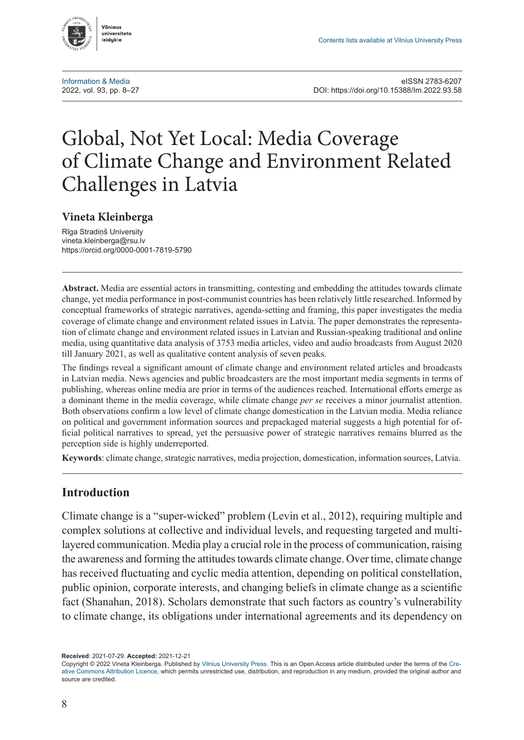

# Global, Not Yet Local: Media Coverage of Climate Change and Environment Related Challenges in Latvia

#### **Vineta Kleinberga**

Rīga Stradiņš University [vineta.kleinberga@rsu.lv](mailto:vineta.kleinberga@rsu.lv) <https://orcid.org/0000-0001-7819-5790>

**Abstract.** Media are essential actors in transmitting, contesting and embedding the attitudes towards climate change, yet media performance in post-communist countries has been relatively little researched. Informed by conceptual frameworks of strategic narratives, agenda-setting and framing, this paper investigates the media coverage of climate change and environment related issues in Latvia. The paper demonstrates the representation of climate change and environment related issues in Latvian and Russian-speaking traditional and online media, using quantitative data analysis of 3753 media articles, video and audio broadcasts from August 2020 till January 2021, as well as qualitative content analysis of seven peaks.

The findings reveal a significant amount of climate change and environment related articles and broadcasts in Latvian media. News agencies and public broadcasters are the most important media segments in terms of publishing, whereas online media are prior in terms of the audiences reached. International efforts emerge as a dominant theme in the media coverage, while climate change *per se* receives a minor journalist attention. Both observations confirm a low level of climate change domestication in the Latvian media. Media reliance on political and government information sources and prepackaged material suggests a high potential for official political narratives to spread, yet the persuasive power of strategic narratives remains blurred as the perception side is highly underreported.

**Keywords**: climate change, strategic narratives, media projection, domestication, information sources, Latvia.

## **Introduction**

Climate change is a "super-wicked" problem (Levin et al., 2012), requiring multiple and complex solutions at collective and individual levels, and requesting targeted and multilayered communication. Media play a crucial role in the process of communication, raising the awareness and forming the attitudes towards climate change. Over time, climate change has received fluctuating and cyclic media attention, depending on political constellation, public opinion, corporate interests, and changing beliefs in climate change as a scientific fact (Shanahan, 2018). Scholars demonstrate that such factors as country's vulnerability to climate change, its obligations under international agreements and its dependency on

**Received**: 2021-07-29. **Accepted:** 2021-12-21

Copyright © 2022 Vineta Kleinberga. Published by [Vilnius University Press](https://www.vu.lt/leidyba/). This is an Open Access article distributed under the terms of the [Cre](https://creativecommons.org/licenses/by/4.0/)[ative Commons Attribution Licence,](https://creativecommons.org/licenses/by/4.0/) which permits unrestricted use, distribution, and reproduction in any medium, provided the original author and source are credited.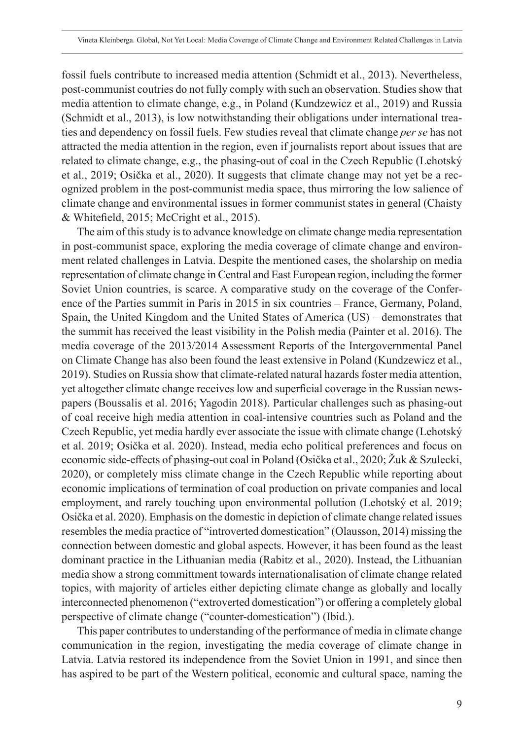fossil fuels contribute to increased media attention (Schmidt et al., 2013). Nevertheless, post-communist coutries do not fully comply with such an observation. Studies show that media attention to climate change, e.g., in Poland (Kundzewicz et al., 2019) and Russia (Schmidt et al., 2013), is low notwithstanding their obligations under international treaties and dependency on fossil fuels. Few studies reveal that climate change *per se* has not attracted the media attention in the region, even if journalists report about issues that are related to climate change, e.g., the phasing-out of coal in the Czech Republic (Lehotský et al., 2019; Osička et al., 2020). It suggests that climate change may not yet be a recognized problem in the post-communist media space, thus mirroring the low salience of climate change and environmental issues in former communist states in general (Chaisty & Whitefield, 2015; McCright et al., 2015).

The aim of this study is to advance knowledge on climate change media representation in post-communist space, exploring the media coverage of climate change and environment related challenges in Latvia. Despite the mentioned cases, the sholarship on media representation of climate change in Central and East European region, including the former Soviet Union countries, is scarce. A comparative study on the coverage of the Conference of the Parties summit in Paris in 2015 in six countries – France, Germany, Poland, Spain, the United Kingdom and the United States of America (US) – demonstrates that the summit has received the least visibility in the Polish media (Painter et al. 2016). The media coverage of the 2013/2014 Assessment Reports of the Intergovernmental Panel on Climate Change has also been found the least extensive in Poland (Kundzewicz et al., 2019). Studies on Russia show that climate-related natural hazards foster media attention, yet altogether climate change receives low and superficial coverage in the Russian newspapers (Boussalis et al. 2016; Yagodin 2018). Particular challenges such as phasing-out of coal receive high media attention in coal-intensive countries such as Poland and the Czech Republic, yet media hardly ever associate the issue with climate change (Lehotský et al. 2019; Osička et al. 2020). Instead, media echo political preferences and focus on economic side-effects of phasing-out coal in Poland (Osička et al., 2020; Žuk & Szulecki, 2020), or completely miss climate change in the Czech Republic while reporting about economic implications of termination of coal production on private companies and local employment, and rarely touching upon environmental pollution (Lehotský et al. 2019; Osička et al. 2020). Emphasis on the domestic in depiction of climate change related issues resembles the media practice of "introverted domestication" (Olausson, 2014) missing the connection between domestic and global aspects. However, it has been found as the least dominant practice in the Lithuanian media (Rabitz et al., 2020). Instead, the Lithuanian media show a strong committment towards internationalisation of climate change related topics, with majority of articles either depicting climate change as globally and locally interconnected phenomenon ("extroverted domestication") or offering a completely global perspective of climate change ("counter-domestication") (Ibid.).

This paper contributes to understanding of the performance of media in climate change communication in the region, investigating the media coverage of climate change in Latvia. Latvia restored its independence from the Soviet Union in 1991, and since then has aspired to be part of the Western political, economic and cultural space, naming the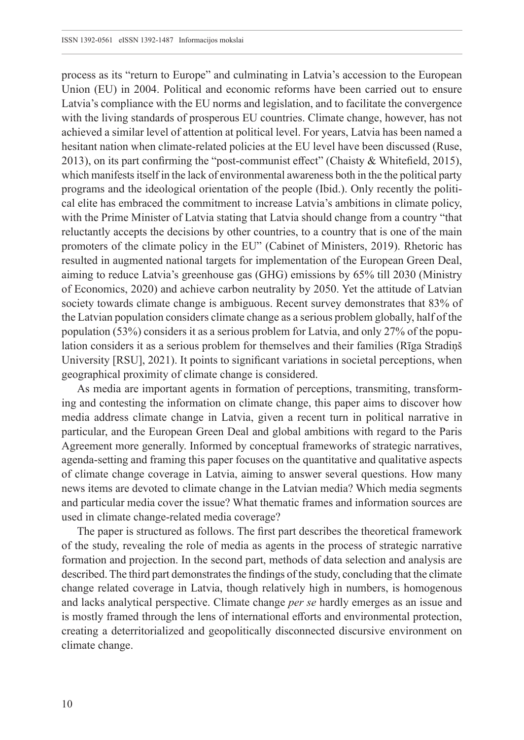process as its "return to Europe" and culminating in Latvia's accession to the European Union (EU) in 2004. Political and economic reforms have been carried out to ensure Latvia's compliance with the EU norms and legislation, and to facilitate the convergence with the living standards of prosperous EU countries. Climate change, however, has not achieved a similar level of attention at political level. For years, Latvia has been named a hesitant nation when climate-related policies at the EU level have been discussed (Ruse, 2013), on its part confirming the "post-communist effect" (Chaisty & Whitefield, 2015), which manifests itself in the lack of environmental awareness both in the the political party programs and the ideological orientation of the people (Ibid.). Only recently the political elite has embraced the commitment to increase Latvia's ambitions in climate policy, with the Prime Minister of Latvia stating that Latvia should change from a country "that reluctantly accepts the decisions by other countries, to a country that is one of the main promoters of the climate policy in the EU" (Cabinet of Ministers, 2019). Rhetoric has resulted in augmented national targets for implementation of the European Green Deal, aiming to reduce Latvia's greenhouse gas (GHG) emissions by 65% till 2030 (Ministry of Economics, 2020) and achieve carbon neutrality by 2050. Yet the attitude of Latvian society towards climate change is ambiguous. Recent survey demonstrates that 83% of the Latvian population considers climate change as a serious problem globally, half of the population (53%) considers it as a serious problem for Latvia, and only 27% of the population considers it as a serious problem for themselves and their families (Rīga Stradiņš University [RSU], 2021). It points to significant variations in societal perceptions, when geographical proximity of climate change is considered.

As media are important agents in formation of perceptions, transmiting, transforming and contesting the information on climate change, this paper aims to discover how media address climate change in Latvia, given a recent turn in political narrative in particular, and the European Green Deal and global ambitions with regard to the Paris Agreement more generally. Informed by conceptual frameworks of strategic narratives, agenda-setting and framing this paper focuses on the quantitative and qualitative aspects of climate change coverage in Latvia, aiming to answer several questions. How many news items are devoted to climate change in the Latvian media? Which media segments and particular media cover the issue? What thematic frames and information sources are used in climate change-related media coverage?

The paper is structured as follows. The first part describes the theoretical framework of the study, revealing the role of media as agents in the process of strategic narrative formation and projection. In the second part, methods of data selection and analysis are described. The third part demonstrates the findings of the study, concluding that the climate change related coverage in Latvia, though relatively high in numbers, is homogenous and lacks analytical perspective. Climate change *per se* hardly emerges as an issue and is mostly framed through the lens of international efforts and environmental protection, creating a deterritorialized and geopolitically disconnected discursive environment on climate change.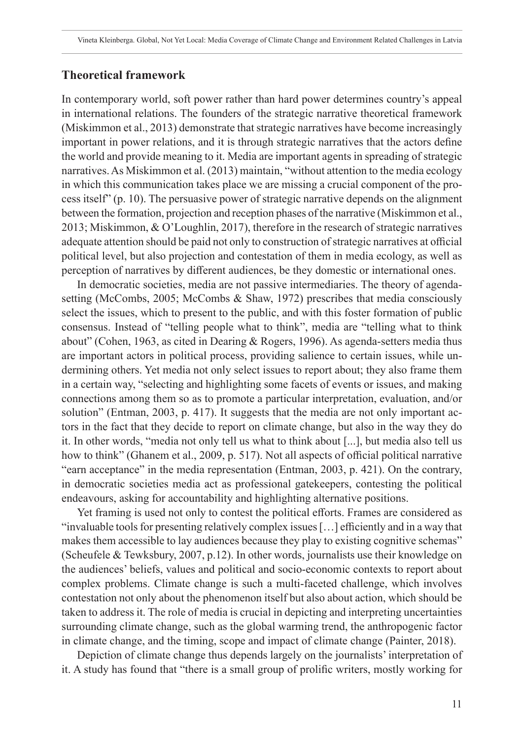#### **Theoretical framework**

In contemporary world, soft power rather than hard power determines country's appeal in international relations. The founders of the strategic narrative theoretical framework (Miskimmon et al., 2013) demonstrate that strategic narratives have become increasingly important in power relations, and it is through strategic narratives that the actors define the world and provide meaning to it. Media are important agents in spreading of strategic narratives. As Miskimmon et al. (2013) maintain, "without attention to the media ecology in which this communication takes place we are missing a crucial component of the process itself" (p. 10). The persuasive power of strategic narrative depends on the alignment between the formation, projection and reception phases of the narrative (Miskimmon et al., 2013; Miskimmon, & O'Loughlin, 2017), therefore in the research of strategic narratives adequate attention should be paid not only to construction of strategic narratives at official political level, but also projection and contestation of them in media ecology, as well as perception of narratives by different audiences, be they domestic or international ones.

In democratic societies, media are not passive intermediaries. The theory of agendasetting (McCombs, 2005; McCombs & Shaw, 1972) prescribes that media consciously select the issues, which to present to the public, and with this foster formation of public consensus. Instead of "telling people what to think", media are "telling what to think about" (Cohen, 1963, as cited in Dearing & Rogers, 1996). As agenda-setters media thus are important actors in political process, providing salience to certain issues, while undermining others. Yet media not only select issues to report about; they also frame them in a certain way, "selecting and highlighting some facets of events or issues, and making connections among them so as to promote a particular interpretation, evaluation, and/or solution" (Entman, 2003, p. 417). It suggests that the media are not only important actors in the fact that they decide to report on climate change, but also in the way they do it. In other words, "media not only tell us what to think about [...], but media also tell us how to think" (Ghanem et al., 2009, p. 517). Not all aspects of official political narrative "earn acceptance" in the media representation (Entman, 2003, p. 421). On the contrary, in democratic societies media act as professional gatekeepers, contesting the political endeavours, asking for accountability and highlighting alternative positions.

Yet framing is used not only to contest the political efforts. Frames are considered as "invaluable tools for presenting relatively complex issues […] efficiently and in a way that makes them accessible to lay audiences because they play to existing cognitive schemas" (Scheufele & Tewksbury, 2007, p.12). In other words, journalists use their knowledge on the audiences' beliefs, values and political and socio-economic contexts to report about complex problems. Climate change is such a multi-faceted challenge, which involves contestation not only about the phenomenon itself but also about action, which should be taken to address it. The role of media is crucial in depicting and interpreting uncertainties surrounding climate change, such as the global warming trend, the anthropogenic factor in climate change, and the timing, scope and impact of climate change (Painter, 2018).

Depiction of climate change thus depends largely on the journalists' interpretation of it. A study has found that "there is a small group of prolific writers, mostly working for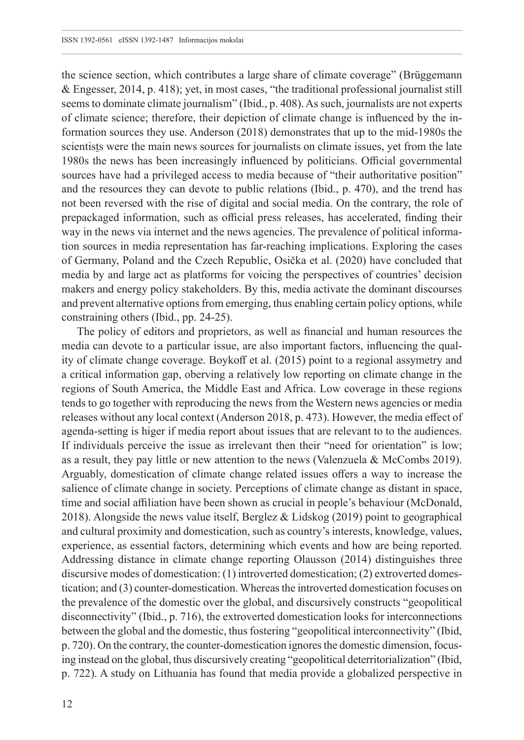the science section, which contributes a large share of climate coverage" (Brüggemann & Engesser, 2014, p. 418); yet, in most cases, "the traditional professional journalist still seems to dominate climate journalism" (Ibid., p. 408). As such, journalists are not experts of climate science; therefore, their depiction of climate change is influenced by the information sources they use. Anderson (2018) demonstrates that up to the mid-1980s the scientists were the main news sources for journalists on climate issues, yet from the late 1980s the news has been increasingly influenced by politicians. Official governmental sources have had a privileged access to media because of "their authoritative position" and the resources they can devote to public relations (Ibid., p. 470), and the trend has not been reversed with the rise of digital and social media. On the contrary, the role of prepackaged information, such as official press releases, has accelerated, finding their way in the news via internet and the news agencies. The prevalence of political information sources in media representation has far-reaching implications. Exploring the cases of Germany, Poland and the Czech Republic, Osička et al. (2020) have concluded that media by and large act as platforms for voicing the perspectives of countries' decision makers and energy policy stakeholders. By this, media activate the dominant discourses and prevent alternative options from emerging, thus enabling certain policy options, while constraining others (Ibid., pp. 24-25).

The policy of editors and proprietors, as well as financial and human resources the media can devote to a particular issue, are also important factors, influencing the quality of climate change coverage. Boykoff et al. (2015) point to a regional assymetry and a critical information gap, oberving a relatively low reporting on climate change in the regions of South America, the Middle East and Africa. Low coverage in these regions tends to go together with reproducing the news from the Western news agencies or media releases without any local context (Anderson 2018, p. 473). However, the media effect of agenda-setting is higer if media report about issues that are relevant to to the audiences. If individuals perceive the issue as irrelevant then their "need for orientation" is low; as a result, they pay little or new attention to the news (Valenzuela & McCombs 2019). Arguably, domestication of climate change related issues offers a way to increase the salience of climate change in society. Perceptions of climate change as distant in space, time and social affiliation have been shown as crucial in people's behaviour (McDonald, 2018). Alongside the news value itself, Berglez & Lidskog (2019) point to geographical and cultural proximity and domestication, such as country's interests, knowledge, values, experience, as essential factors, determining which events and how are being reported. Addressing distance in climate change reporting Olausson (2014) distinguishes three discursive modes of domestication: (1) introverted domestication; (2) extroverted domestication; and (3) counter-domestication. Whereas the introverted domestication focuses on the prevalence of the domestic over the global, and discursively constructs "geopolitical disconnectivity" (Ibid., p. 716), the extroverted domestication looks for interconnections between the global and the domestic, thus fostering "geopolitical interconnectivity" (Ibid, p. 720). On the contrary, the counter-domestication ignores the domestic dimension, focusing instead on the global, thus discursively creating "geopolitical deterritorialization" (Ibid, p. 722). A study on Lithuania has found that media provide a globalized perspective in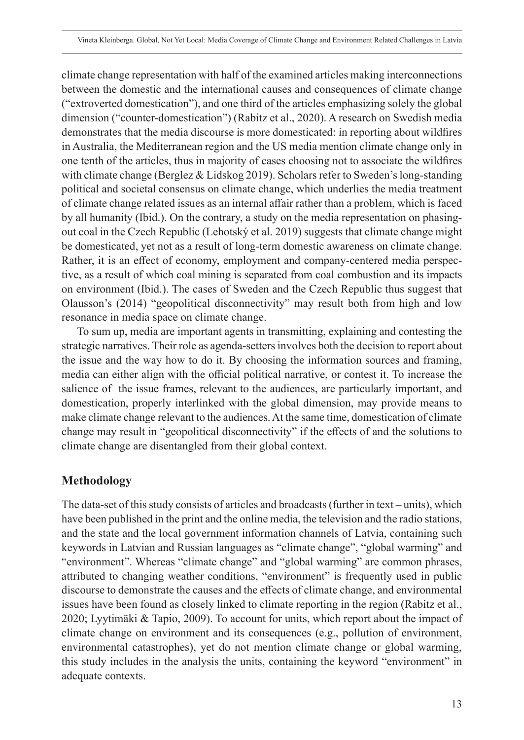climate change representation with half of the examined articles making interconnections between the domestic and the international causes and consequences of climate change ("extroverted domestication"), and one third of the articles emphasizing solely the global dimension ("counter-domestication") (Rabitz et al., 2020). A research on Swedish media demonstrates that the media discourse is more domesticated: in reporting about wildfires in Australia, the Mediterranean region and the US media mention climate change only in one tenth of the articles, thus in majority of cases choosing not to associate the wildfires with climate change (Berglez & Lidskog 2019). Scholars refer to Sweden's long-standing political and societal consensus on climate change, which underlies the media treatment of climate change related issues as an internal affair rather than a problem, which is faced by all humanity (Ibid.). On the contrary, a study on the media representation on phasingout coal in the Czech Republic (Lehotský et al. 2019) suggests that climate change might be domesticated, yet not as a result of long-term domestic awareness on climate change. Rather, it is an effect of economy, employment and company-centered media perspective, as a result of which coal mining is separated from coal combustion and its impacts on environment (Ibid.). The cases of Sweden and the Czech Republic thus suggest that Olausson's (2014) "geopolitical disconnectivity" may result both from high and low resonance in media space on climate change.

To sum up, media are important agents in transmitting, explaining and contesting the strategic narratives. Their role as agenda-setters involves both the decision to report about the issue and the way how to do it. By choosing the information sources and framing, media can either align with the official political narrative, or contest it. To increase the salience of the issue frames, relevant to the audiences, are particularly important, and domestication, properly interlinked with the global dimension, may provide means to make climate change relevant to the audiences. At the same time, domestication of climate change may result in "geopolitical disconnectivity" if the effects of and the solutions to climate change are disentangled from their global context.

# **Methodology**

The data-set of this study consists of articles and broadcasts (further in text – units), which have been published in the print and the online media, the television and the radio stations, and the state and the local government information channels of Latvia, containing such keywords in Latvian and Russian languages as "climate change", "global warming" and "environment". Whereas "climate change" and "global warming" are common phrases, attributed to changing weather conditions, "environment" is frequently used in public discourse to demonstrate the causes and the effects of climate change, and environmental issues have been found as closely linked to climate reporting in the region (Rabitz et al., 2020; Lyytimäki & Tapio, 2009). To account for units, which report about the impact of climate change on environment and its consequences (e.g., pollution of environment, environmental catastrophes), yet do not mention climate change or global warming, this study includes in the analysis the units, containing the keyword "environment" in adequate contexts.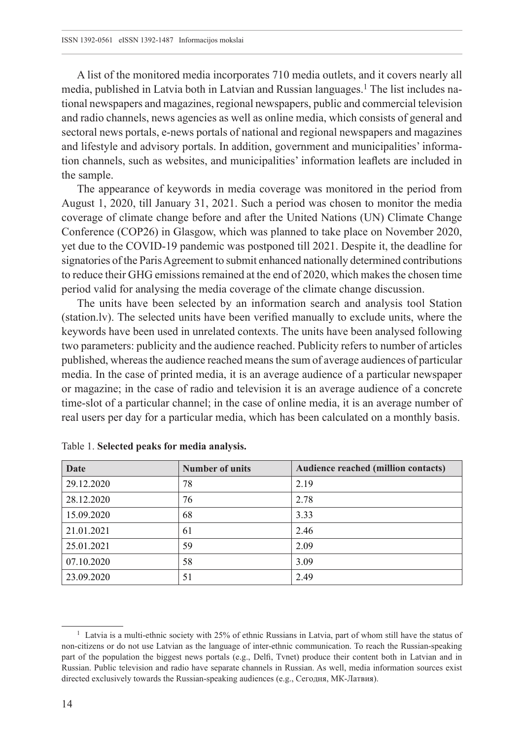A list of the monitored media incorporates 710 media outlets, and it covers nearly all media, published in Latvia both in Latvian and Russian languages.1 The list includes national newspapers and magazines, regional newspapers, public and commercial television and radio channels, news agencies as well as online media, which consists of general and sectoral news portals, e-news portals of national and regional newspapers and magazines and lifestyle and advisory portals. In addition, government and municipalities' information channels, such as websites, and municipalities' information leaflets are included in the sample.

The appearance of keywords in media coverage was monitored in the period from August 1, 2020, till January 31, 2021. Such a period was chosen to monitor the media coverage of climate change before and after the United Nations (UN) Climate Change Conference (COP26) in Glasgow, which was planned to take place on November 2020, yet due to the COVID-19 pandemic was postponed till 2021. Despite it, the deadline for signatories of the Paris Agreement to submit enhanced nationally determined contributions to reduce their GHG emissions remained at the end of 2020, which makes the chosen time period valid for analysing the media coverage of the climate change discussion.

The units have been selected by an information search and analysis tool Station [\(station.lv](station.lv)). The selected units have been verified manually to exclude units, where the keywords have been used in unrelated contexts. The units have been analysed following two parameters: publicity and the audience reached. Publicity refers to number of articles published, whereas the audience reached means the sum of average audiences of particular media. In the case of printed media, it is an average audience of a particular newspaper or magazine; in the case of radio and television it is an average audience of a concrete time-slot of a particular channel; in the case of online media, it is an average number of real users per day for a particular media, which has been calculated on a monthly basis.

| Date       | <b>Number of units</b> | Audience reached (million contacts) |
|------------|------------------------|-------------------------------------|
| 29.12.2020 | 78                     | 2.19                                |
| 28.12.2020 | 76                     | 2.78                                |
| 15.09.2020 | 68                     | 3.33                                |
| 21.01.2021 | 61                     | 2.46                                |
| 25.01.2021 | 59                     | 2.09                                |
| 07.10.2020 | 58                     | 3.09                                |
| 23.09.2020 | 51                     | 2.49                                |

Table 1. **Selected peaks for media analysis.**

<sup>&</sup>lt;sup>1</sup> Latvia is a multi-ethnic society with 25% of ethnic Russians in Latvia, part of whom still have the status of non-citizens or do not use Latvian as the language of inter-ethnic communication. To reach the Russian-speaking part of the population the biggest news portals (e.g., Delfi, Tvnet) produce their content both in Latvian and in Russian. Public television and radio have separate channels in Russian. As well, media information sources exist directed exclusively towards the Russian-speaking audiences (e.g., Сегодня, МК-Латвия).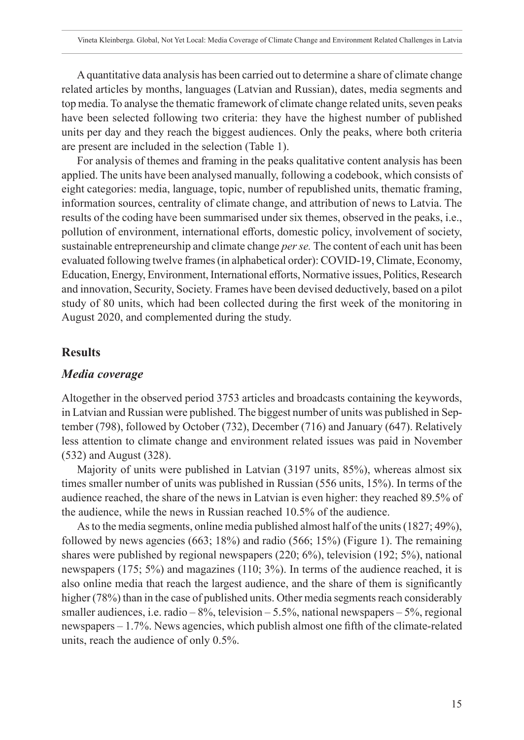A quantitative data analysis has been carried out to determine a share of climate change related articles by months, languages (Latvian and Russian), dates, media segments and top media. To analyse the thematic framework of climate change related units, seven peaks have been selected following two criteria: they have the highest number of published units per day and they reach the biggest audiences. Only the peaks, where both criteria are present are included in the selection (Table 1).

For analysis of themes and framing in the peaks qualitative content analysis has been applied. The units have been analysed manually, following a codebook, which consists of eight categories: media, language, topic, number of republished units, thematic framing, information sources, centrality of climate change, and attribution of news to Latvia. The results of the coding have been summarised under six themes, observed in the peaks, i.e., pollution of environment, international efforts, domestic policy, involvement of society, sustainable entrepreneurship and climate change *per se.* The content of each unit has been evaluated following twelve frames (in alphabetical order): COVID-19, Climate, Economy, Education, Energy, Environment, International efforts, Normative issues, Politics, Research and innovation, Security, Society. Frames have been devised deductively, based on a pilot study of 80 units, which had been collected during the first week of the monitoring in August 2020, and complemented during the study.

#### **Results**

#### *Media coverage*

Altogether in the observed period 3753 articles and broadcasts containing the keywords, in Latvian and Russian were published. The biggest number of units was published in September (798), followed by October (732), December (716) and January (647). Relatively less attention to climate change and environment related issues was paid in November (532) and August (328).

Majority of units were published in Latvian (3197 units, 85%), whereas almost six times smaller number of units was published in Russian (556 units, 15%). In terms of the audience reached, the share of the news in Latvian is even higher: they reached 89.5% of the audience, while the news in Russian reached 10.5% of the audience.

As to the media segments, online media published almost half of the units (1827; 49%), followed by news agencies (663; 18%) and radio (566; 15%) (Figure 1). The remaining shares were published by regional newspapers (220; 6%), television (192; 5%), national newspapers (175; 5%) and magazines (110; 3%). In terms of the audience reached, it is also online media that reach the largest audience, and the share of them is significantly higher (78%) than in the case of published units. Other media segments reach considerably smaller audiences, i.e. radio –  $8\%$ , television – 5.5%, national newspapers – 5%, regional newspapers – 1.7%. News agencies, which publish almost one fifth of the climate-related units, reach the audience of only 0.5%.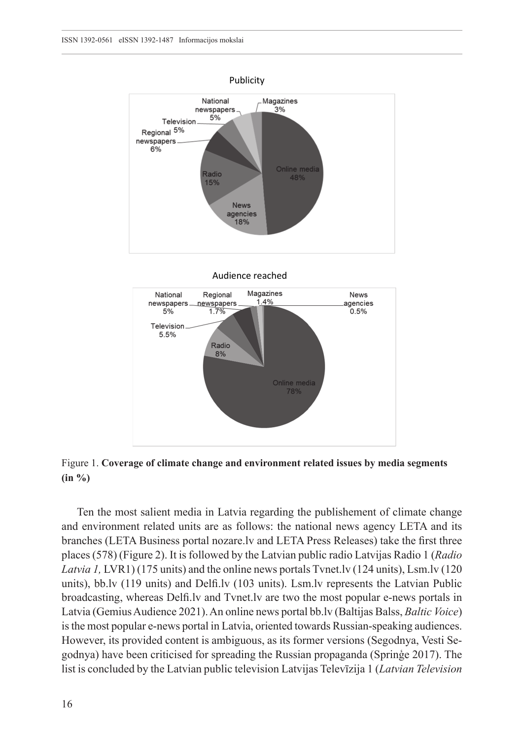

Audience reached



Figure 1. **Coverage of climate change and environment related issues by media segments (in %)**

Ten the most salient media in Latvia regarding the publishement of climate change and environment related units are as follows: the national news agency LETA and its branches (LETA Business portal<nozare.lv> and LETA Press Releases) take the first three places (578) (Figure 2). It is followed by the Latvian public radio Latvijas Radio 1 (*Radio Latvia 1, LVR1*) (175 units) and the online news portals Tynet.ly (124 units), Lsm.ly (120 units), <bb.lv>(119 units) and <Delfi.lv> (103 units). <Lsm.lv> represents the Latvian Public broadcasting, whereas <Delfi.lv> and <Tvnet.lv> are two the most popular e-news portals in Latvia (Gemius Audience 2021). An online news portal<bb.lv> (Baltijas Balss, *Baltic Voice*) is the most popular e-news portal in Latvia, oriented towards Russian-speaking audiences. However, its provided content is ambiguous, as its former versions (Segodnya, Vesti Segodnya) have been criticised for spreading the Russian propaganda (Sprinģe 2017). The list is concluded by the Latvian public television Latvijas Televīzija 1 (*Latvian Television*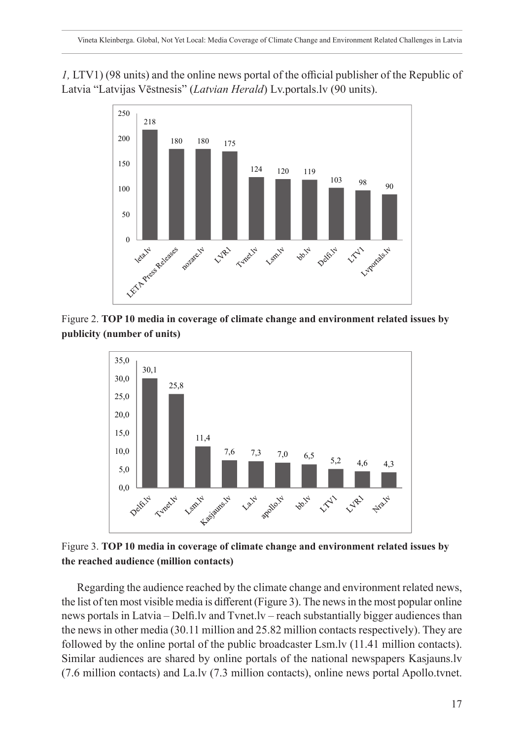*1,* LTV1) (98 units) and the online news portal of the official publisher of the Republic of Latvia "Latvijas Vēstnesis" (*Latvian Herald*) <Lv.portals.lv>(90 units).



Figure 2. **TOP 10 media in coverage of climate change and environment related issues by publicity (number of units)**



Figure 3. **TOP 10 media in coverage of climate change and environment related issues by the reached audience (million contacts)**

Regarding the audience reached by the climate change and environment related news, the list of ten most visible media is different (Figure 3). The news in the most popular online news portals in Latvia – <Delfi.lv> and<Tvnet.lv>– reach substantially bigger audiences than the news in other media (30.11 million and 25.82 million contacts respectively). They are followed by the online portal of the public broadcaster <Lsm.lv> (11.41 million contacts). Similar audiences are shared by online portals of the national newspapers <Kasjauns.lv> (7.6 million contacts) and<La.lv> (7.3 million contacts), online news portal [Apollo.tvnet.](Apollo.tvnet.lv)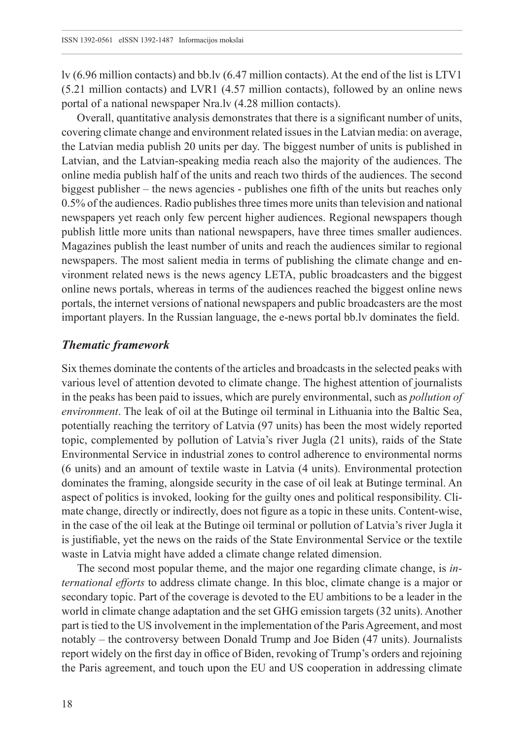[lv](Apollo.tvnet.lv) (6.96 million contacts) and <bb.lv>(6.47 million contacts). At the end of the list is LTV1 (5.21 million contacts) and LVR1 (4.57 million contacts), followed by an online news portal of a national newspaper<Nra.lv>(4.28 million contacts).

Overall, quantitative analysis demonstrates that there is a significant number of units, covering climate change and environment related issues in the Latvian media: on average, the Latvian media publish 20 units per day. The biggest number of units is published in Latvian, and the Latvian-speaking media reach also the majority of the audiences. The online media publish half of the units and reach two thirds of the audiences. The second biggest publisher – the news agencies - publishes one fifth of the units but reaches only 0.5% of the audiences. Radio publishes three times more units than television and national newspapers yet reach only few percent higher audiences. Regional newspapers though publish little more units than national newspapers, have three times smaller audiences. Magazines publish the least number of units and reach the audiences similar to regional newspapers. The most salient media in terms of publishing the climate change and environment related news is the news agency LETA, public broadcasters and the biggest online news portals, whereas in terms of the audiences reached the biggest online news portals, the internet versions of national newspapers and public broadcasters are the most important players. In the Russian language, the e-news portal<bb.lv> dominates the field.

#### *Thematic framework*

Six themes dominate the contents of the articles and broadcasts in the selected peaks with various level of attention devoted to climate change. The highest attention of journalists in the peaks has been paid to issues, which are purely environmental, such as *pollution of environment*. The leak of oil at the Butinge oil terminal in Lithuania into the Baltic Sea, potentially reaching the territory of Latvia (97 units) has been the most widely reported topic, complemented by pollution of Latvia's river Jugla (21 units), raids of the State Environmental Service in industrial zones to control adherence to environmental norms (6 units) and an amount of textile waste in Latvia (4 units). Environmental protection dominates the framing, alongside security in the case of oil leak at Butinge terminal. An aspect of politics is invoked, looking for the guilty ones and political responsibility. Climate change, directly or indirectly, does not figure as a topic in these units. Content-wise, in the case of the oil leak at the Butinge oil terminal or pollution of Latvia's river Jugla it is justifiable, yet the news on the raids of the State Environmental Service or the textile waste in Latvia might have added a climate change related dimension.

The second most popular theme, and the major one regarding climate change, is *international efforts* to address climate change. In this bloc, climate change is a major or secondary topic. Part of the coverage is devoted to the EU ambitions to be a leader in the world in climate change adaptation and the set GHG emission targets (32 units). Another part is tied to the US involvement in the implementation of the Paris Agreement, and most notably – the controversy between Donald Trump and Joe Biden (47 units). Journalists report widely on the first day in office of Biden, revoking of Trump's orders and rejoining the Paris agreement, and touch upon the EU and US cooperation in addressing climate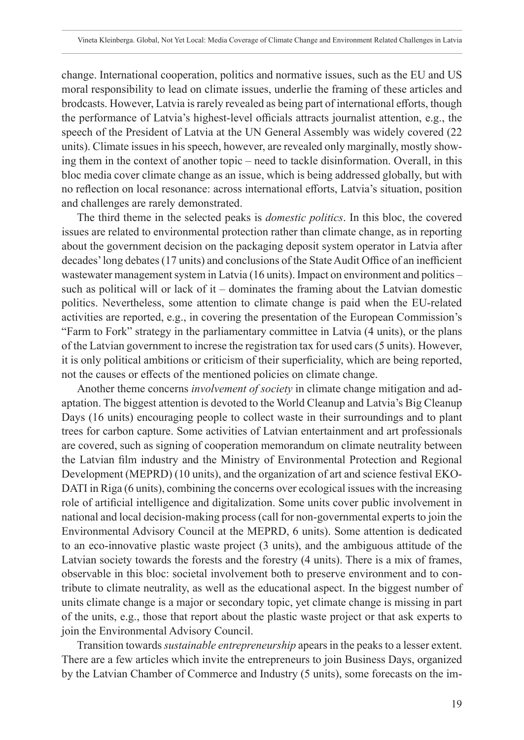change. International cooperation, politics and normative issues, such as the EU and US moral responsibility to lead on climate issues, underlie the framing of these articles and brodcasts. However, Latvia is rarely revealed as being part of international efforts, though the performance of Latvia's highest-level officials attracts journalist attention, e.g., the speech of the President of Latvia at the UN General Assembly was widely covered (22 units). Climate issues in his speech, however, are revealed only marginally, mostly showing them in the context of another topic – need to tackle disinformation. Overall, in this bloc media cover climate change as an issue, which is being addressed globally, but with no reflection on local resonance: across international efforts, Latvia's situation, position and challenges are rarely demonstrated.

The third theme in the selected peaks is *domestic politics*. In this bloc, the covered issues are related to environmental protection rather than climate change, as in reporting about the government decision on the packaging deposit system operator in Latvia after decades' long debates (17 units) and conclusions of the State Audit Office of an inefficient wastewater management system in Latvia (16 units). Impact on environment and politics – such as political will or lack of it – dominates the framing about the Latvian domestic politics. Nevertheless, some attention to climate change is paid when the EU-related activities are reported, e.g., in covering the presentation of the European Commission's "Farm to Fork" strategy in the parliamentary committee in Latvia (4 units), or the plans of the Latvian government to increse the registration tax for used cars (5 units). However, it is only political ambitions or criticism of their superficiality, which are being reported, not the causes or effects of the mentioned policies on climate change.

Another theme concerns *involvement of society* in climate change mitigation and adaptation. The biggest attention is devoted to the World Cleanup and Latvia's Big Cleanup Days (16 units) encouraging people to collect waste in their surroundings and to plant trees for carbon capture. Some activities of Latvian entertainment and art professionals are covered, such as signing of cooperation memorandum on climate neutrality between the Latvian film industry and the Ministry of Environmental Protection and Regional Development (MEPRD) (10 units), and the organization of art and science festival EKO-DATI in Riga (6 units), combining the concerns over ecological issues with the increasing role of artificial intelligence and digitalization. Some units cover public involvement in national and local decision-making process (call for non-governmental experts to join the Environmental Advisory Council at the MEPRD, 6 units). Some attention is dedicated to an eco-innovative plastic waste project (3 units), and the ambiguous attitude of the Latvian society towards the forests and the forestry (4 units). There is a mix of frames, observable in this bloc: societal involvement both to preserve environment and to contribute to climate neutrality, as well as the educational aspect. In the biggest number of units climate change is a major or secondary topic, yet climate change is missing in part of the units, e.g., those that report about the plastic waste project or that ask experts to join the Environmental Advisory Council.

Transition towards *sustainable entrepreneurship* apears in the peaks to a lesser extent. There are a few articles which invite the entrepreneurs to join Business Days, organized by the Latvian Chamber of Commerce and Industry (5 units), some forecasts on the im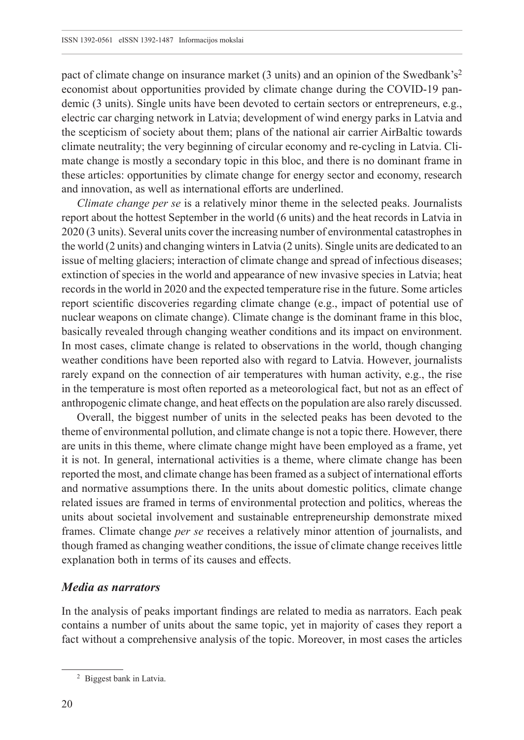pact of climate change on insurance market (3 units) and an opinion of the Swedbank's<sup>2</sup> economist about opportunities provided by climate change during the COVID-19 pandemic (3 units). Single units have been devoted to certain sectors or entrepreneurs, e.g., electric car charging network in Latvia; development of wind energy parks in Latvia and the scepticism of society about them; plans of the national air carrier AirBaltic towards climate neutrality; the very beginning of circular economy and re-cycling in Latvia. Climate change is mostly a secondary topic in this bloc, and there is no dominant frame in these articles: opportunities by climate change for energy sector and economy, research and innovation, as well as international efforts are underlined.

*Climate change per se* is a relatively minor theme in the selected peaks. Journalists report about the hottest September in the world (6 units) and the heat records in Latvia in 2020 (3 units). Several units cover the increasing number of environmental catastrophes in the world (2 units) and changing winters in Latvia (2 units). Single units are dedicated to an issue of melting glaciers; interaction of climate change and spread of infectious diseases; extinction of species in the world and appearance of new invasive species in Latvia; heat records in the world in 2020 and the expected temperature rise in the future. Some articles report scientific discoveries regarding climate change (e.g., impact of potential use of nuclear weapons on climate change). Climate change is the dominant frame in this bloc, basically revealed through changing weather conditions and its impact on environment. In most cases, climate change is related to observations in the world, though changing weather conditions have been reported also with regard to Latvia. However, journalists rarely expand on the connection of air temperatures with human activity, e.g., the rise in the temperature is most often reported as a meteorological fact, but not as an effect of anthropogenic climate change, and heat effects on the population are also rarely discussed.

Overall, the biggest number of units in the selected peaks has been devoted to the theme of environmental pollution, and climate change is not a topic there. However, there are units in this theme, where climate change might have been employed as a frame, yet it is not. In general, international activities is a theme, where climate change has been reported the most, and climate change has been framed as a subject of international efforts and normative assumptions there. In the units about domestic politics, climate change related issues are framed in terms of environmental protection and politics, whereas the units about societal involvement and sustainable entrepreneurship demonstrate mixed frames. Climate change *per se* receives a relatively minor attention of journalists, and though framed as changing weather conditions, the issue of climate change receives little explanation both in terms of its causes and effects.

#### *Media as narrators*

In the analysis of peaks important findings are related to media as narrators. Each peak contains a number of units about the same topic, yet in majority of cases they report a fact without a comprehensive analysis of the topic. Moreover, in most cases the articles

<sup>2</sup> Biggest bank in Latvia.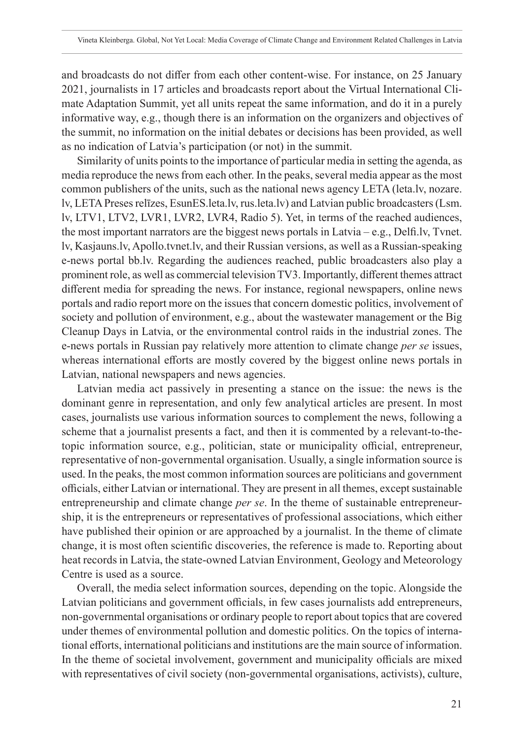and broadcasts do not differ from each other content-wise. For instance, on 25 January 2021, journalists in 17 articles and broadcasts report about the Virtual International Climate Adaptation Summit, yet all units repeat the same information, and do it in a purely informative way, e.g., though there is an information on the organizers and objectives of the summit, no information on the initial debates or decisions has been provided, as well as no indication of Latvia's participation (or not) in the summit.

Similarity of units points to the importance of particular media in setting the agenda, as media reproduce the news from each other. In the peaks, several media appear as the most common publishers of the units, such as the national news agency LETA [\(leta.lv,](leta.lv) [nozare.](nozare.lv) [lv](nozare.lv), LETA Preses relīzes, [EsunES.leta.lv,](EsunES.leta.lv)<rus.leta.lv>) and Latvian public broadcasters [\(Lsm.](Lsm.lv) [lv](Lsm.lv), LTV1, LTV2, LVR1, LVR2, LVR4, Radio 5). Yet, in terms of the reached audiences, the most important narrators are the biggest news portals in Latvia – e.g., <Delfi.lv>, [Tvnet.](Tvnet.lv) [lv](Tvnet.lv),<Kasjauns.lv>,<Apollo.tvnet.lv>, and their Russian versions, as well as a Russian-speaking e-news portal [bb.lv.](bb.lv) Regarding the audiences reached, public broadcasters also play a prominent role, as well as commercial television TV3. Importantly, different themes attract different media for spreading the news. For instance, regional newspapers, online news portals and radio report more on the issues that concern domestic politics, involvement of society and pollution of environment, e.g., about the wastewater management or the Big Cleanup Days in Latvia, or the environmental control raids in the industrial zones. The e-news portals in Russian pay relatively more attention to climate change *per se* issues, whereas international efforts are mostly covered by the biggest online news portals in Latvian, national newspapers and news agencies.

Latvian media act passively in presenting a stance on the issue: the news is the dominant genre in representation, and only few analytical articles are present. In most cases, journalists use various information sources to complement the news, following a scheme that a journalist presents a fact, and then it is commented by a relevant-to-thetopic information source, e.g., politician, state or municipality official, entrepreneur, representative of non-governmental organisation. Usually, a single information source is used. In the peaks, the most common information sources are politicians and government officials, either Latvian or international. They are present in all themes, except sustainable entrepreneurship and climate change *per se*. In the theme of sustainable entrepreneurship, it is the entrepreneurs or representatives of professional associations, which either have published their opinion or are approached by a journalist. In the theme of climate change, it is most often scientific discoveries, the reference is made to. Reporting about heat records in Latvia, the state-owned Latvian Environment, Geology and Meteorology Centre is used as a source.

Overall, the media select information sources, depending on the topic. Alongside the Latvian politicians and government officials, in few cases journalists add entrepreneurs, non-governmental organisations or ordinary people to report about topics that are covered under themes of environmental pollution and domestic politics. On the topics of international efforts, international politicians and institutions are the main source of information. In the theme of societal involvement, government and municipality officials are mixed with representatives of civil society (non-governmental organisations, activists), culture,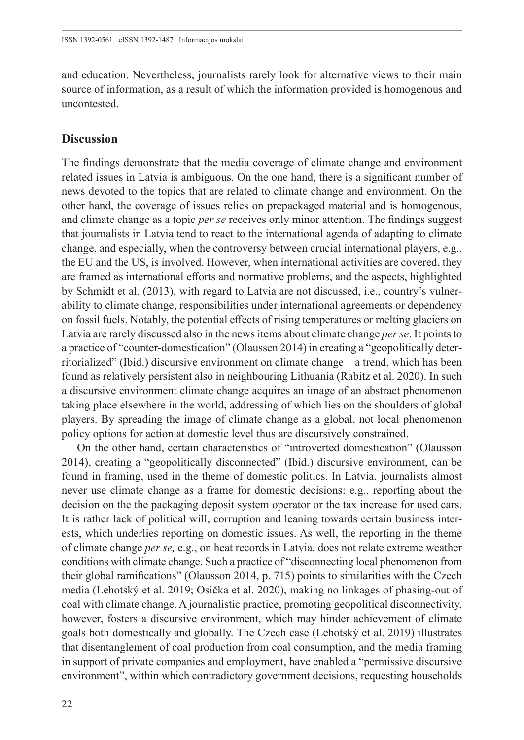and education. Nevertheless, journalists rarely look for alternative views to their main source of information, as a result of which the information provided is homogenous and uncontested.

#### **Discussion**

The findings demonstrate that the media coverage of climate change and environment related issues in Latvia is ambiguous. On the one hand, there is a significant number of news devoted to the topics that are related to climate change and environment. On the other hand, the coverage of issues relies on prepackaged material and is homogenous, and climate change as a topic *per se* receives only minor attention. The findings suggest that journalists in Latvia tend to react to the international agenda of adapting to climate change, and especially, when the controversy between crucial international players, e.g., the EU and the US, is involved. However, when international activities are covered, they are framed as international efforts and normative problems, and the aspects, highlighted by Schmidt et al. (2013), with regard to Latvia are not discussed, i.e., country's vulnerability to climate change, responsibilities under international agreements or dependency on fossil fuels. Notably, the potential effects of rising temperatures or melting glaciers on Latvia are rarely discussed also in the news items about climate change *per se*. It points to a practice of "counter-domestication" (Olaussen 2014) in creating a "geopolitically deterritorialized" (Ibid.) discursive environment on climate change – a trend, which has been found as relatively persistent also in neighbouring Lithuania (Rabitz et al. 2020). In such a discursive environment climate change acquires an image of an abstract phenomenon taking place elsewhere in the world, addressing of which lies on the shoulders of global players. By spreading the image of climate change as a global, not local phenomenon policy options for action at domestic level thus are discursively constrained.

On the other hand, certain characteristics of "introverted domestication" (Olausson 2014), creating a "geopolitically disconnected" (Ibid.) discursive environment, can be found in framing, used in the theme of domestic politics. In Latvia, journalists almost never use climate change as a frame for domestic decisions: e.g., reporting about the decision on the the packaging deposit system operator or the tax increase for used cars. It is rather lack of political will, corruption and leaning towards certain business interests, which underlies reporting on domestic issues. As well, the reporting in the theme of climate change *per se,* e.g., on heat records in Latvia, does not relate extreme weather conditions with climate change. Such a practice of "disconnecting local phenomenon from their global ramifications" (Olausson 2014, p. 715) points to similarities with the Czech media (Lehotský et al. 2019; Osička et al. 2020), making no linkages of phasing-out of coal with climate change. A journalistic practice, promoting geopolitical disconnectivity, however, fosters a discursive environment, which may hinder achievement of climate goals both domestically and globally. The Czech case (Lehotský et al. 2019) illustrates that disentanglement of coal production from coal consumption, and the media framing in support of private companies and employment, have enabled a "permissive discursive environment", within which contradictory government decisions, requesting households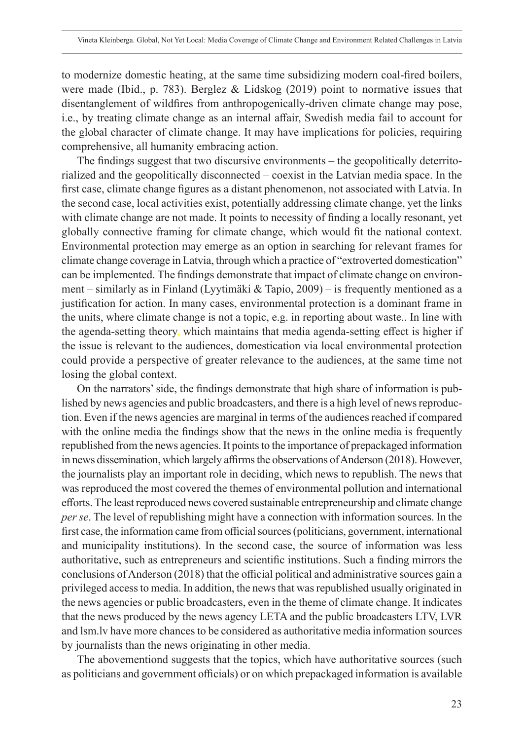to modernize domestic heating, at the same time subsidizing modern coal-fired boilers, were made (Ibid., p. 783). Berglez & Lidskog (2019) point to normative issues that disentanglement of wildfires from anthropogenically-driven climate change may pose, i.e., by treating climate change as an internal affair, Swedish media fail to account for the global character of climate change. It may have implications for policies, requiring comprehensive, all humanity embracing action.

The findings suggest that two discursive environments – the geopolitically deterritorialized and the geopolitically disconnected – coexist in the Latvian media space. In the first case, climate change figures as a distant phenomenon, not associated with Latvia. In the second case, local activities exist, potentially addressing climate change, yet the links with climate change are not made. It points to necessity of finding a locally resonant, yet globally connective framing for climate change, which would fit the national context. Environmental protection may emerge as an option in searching for relevant frames for climate change coverage in Latvia, through which a practice of "extroverted domestication" can be implemented. The findings demonstrate that impact of climate change on environment – similarly as in Finland (Lyytimäki & Tapio, 2009) – is frequently mentioned as a justification for action. In many cases, environmental protection is a dominant frame in the units, where climate change is not a topic, e.g. in reporting about waste.. In line with the agenda-setting theory, which maintains that media agenda-setting effect is higher if the issue is relevant to the audiences, domestication via local environmental protection could provide a perspective of greater relevance to the audiences, at the same time not losing the global context.

On the narrators' side, the findings demonstrate that high share of information is published by news agencies and public broadcasters, and there is a high level of news reproduction. Even if the news agencies are marginal in terms of the audiences reached if compared with the online media the findings show that the news in the online media is frequently republished from the news agencies. It points to the importance of prepackaged information in news dissemination, which largely affirms the observations of Anderson (2018). However, the journalists play an important role in deciding, which news to republish. The news that was reproduced the most covered the themes of environmental pollution and international efforts. The least reproduced news covered sustainable entrepreneurship and climate change *per se*. The level of republishing might have a connection with information sources. In the first case, the information came from official sources (politicians, government, international and municipality institutions). In the second case, the source of information was less authoritative, such as entrepreneurs and scientific institutions. Such a finding mirrors the conclusions of Anderson (2018) that the official political and administrative sources gain a privileged access to media. In addition, the news that was republished usually originated in the news agencies or public broadcasters, even in the theme of climate change. It indicates that the news produced by the news agency LETA and the public broadcasters LTV, LVR and<lsm.lv> have more chances to be considered as authoritative media information sources by journalists than the news originating in other media.

The abovementiond suggests that the topics, which have authoritative sources (such as politicians and government officials) or on which prepackaged information is available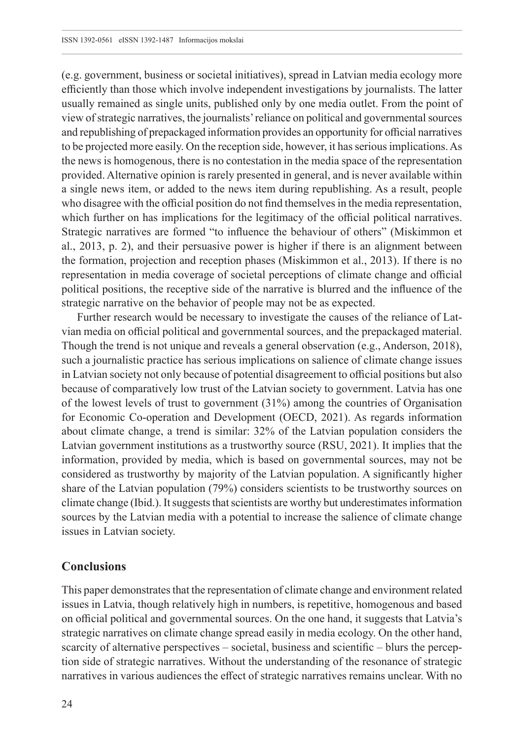(e.g. government, business or societal initiatives), spread in Latvian media ecology more efficiently than those which involve independent investigations by journalists. The latter usually remained as single units, published only by one media outlet. From the point of view of strategic narratives, the journalists' reliance on political and governmental sources and republishing of prepackaged information provides an opportunity for official narratives to be projected more easily. On the reception side, however, it has serious implications. As the news is homogenous, there is no contestation in the media space of the representation provided. Alternative opinion is rarely presented in general, and is never available within a single news item, or added to the news item during republishing. As a result, people who disagree with the official position do not find themselves in the media representation, which further on has implications for the legitimacy of the official political narratives. Strategic narratives are formed "to influence the behaviour of others" (Miskimmon et al., 2013, p. 2), and their persuasive power is higher if there is an alignment between the formation, projection and reception phases (Miskimmon et al., 2013). If there is no representation in media coverage of societal perceptions of climate change and official political positions, the receptive side of the narrative is blurred and the influence of the strategic narrative on the behavior of people may not be as expected.

Further research would be necessary to investigate the causes of the reliance of Latvian media on official political and governmental sources, and the prepackaged material. Though the trend is not unique and reveals a general observation (e.g., Anderson, 2018), such a journalistic practice has serious implications on salience of climate change issues in Latvian society not only because of potential disagreement to official positions but also because of comparatively low trust of the Latvian society to government. Latvia has one of the lowest levels of trust to government (31%) among the countries of Organisation for Economic Co-operation and Development (OECD, 2021). As regards information about climate change, a trend is similar: 32% of the Latvian population considers the Latvian government institutions as a trustworthy source (RSU, 2021). It implies that the information, provided by media, which is based on governmental sources, may not be considered as trustworthy by majority of the Latvian population. A significantly higher share of the Latvian population (79%) considers scientists to be trustworthy sources on climate change (Ibid.). It suggests that scientists are worthy but underestimates information sources by the Latvian media with a potential to increase the salience of climate change issues in Latvian society.

## **Conclusions**

This paper demonstrates that the representation of climate change and environment related issues in Latvia, though relatively high in numbers, is repetitive, homogenous and based on official political and governmental sources. On the one hand, it suggests that Latvia's strategic narratives on climate change spread easily in media ecology. On the other hand, scarcity of alternative perspectives – societal, business and scientific – blurs the perception side of strategic narratives. Without the understanding of the resonance of strategic narratives in various audiences the effect of strategic narratives remains unclear. With no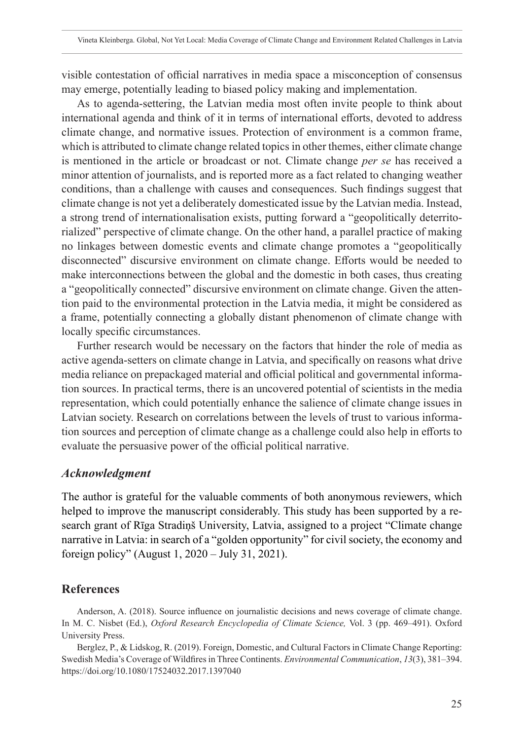visible contestation of official narratives in media space a misconception of consensus may emerge, potentially leading to biased policy making and implementation.

As to agenda-settering, the Latvian media most often invite people to think about international agenda and think of it in terms of international efforts, devoted to address climate change, and normative issues. Protection of environment is a common frame, which is attributed to climate change related topics in other themes, either climate change is mentioned in the article or broadcast or not. Climate change *per se* has received a minor attention of journalists, and is reported more as a fact related to changing weather conditions, than a challenge with causes and consequences. Such findings suggest that climate change is not yet a deliberately domesticated issue by the Latvian media. Instead, a strong trend of internationalisation exists, putting forward a "geopolitically deterritorialized" perspective of climate change. On the other hand, a parallel practice of making no linkages between domestic events and climate change promotes a "geopolitically disconnected" discursive environment on climate change. Efforts would be needed to make interconnections between the global and the domestic in both cases, thus creating a "geopolitically connected" discursive environment on climate change. Given the attention paid to the environmental protection in the Latvia media, it might be considered as a frame, potentially connecting a globally distant phenomenon of climate change with locally specific circumstances.

Further research would be necessary on the factors that hinder the role of media as active agenda-setters on climate change in Latvia, and specifically on reasons what drive media reliance on prepackaged material and official political and governmental information sources. In practical terms, there is an uncovered potential of scientists in the media representation, which could potentially enhance the salience of climate change issues in Latvian society. Research on correlations between the levels of trust to various information sources and perception of climate change as a challenge could also help in efforts to evaluate the persuasive power of the official political narrative.

#### *Acknowledgment*

The author is grateful for the valuable comments of both anonymous reviewers, which helped to improve the manuscript considerably. This study has been supported by a research grant of Rīga Stradiņš University, Latvia, assigned to a project "Climate change narrative in Latvia: in search of a "golden opportunity" for civil society, the economy and foreign policy" (August 1, 2020 – July 31, 2021).

#### **References**

Anderson, A. (2018). Source influence on journalistic decisions and news coverage of climate change. In M. C. Nisbet (Ed.), *Oxford Research Encyclopedia of Climate Science,* Vol. 3 (pp. 469–491). Oxford University Press.

Berglez, P., & Lidskog, R. (2019). Foreign, Domestic, and Cultural Factors in Climate Change Reporting: Swedish Media's Coverage of Wildfires in Three Continents. *Environmental Communication*, *13*(3), 381–394. <https://doi.org/10.1080/17524032.2017.1397040>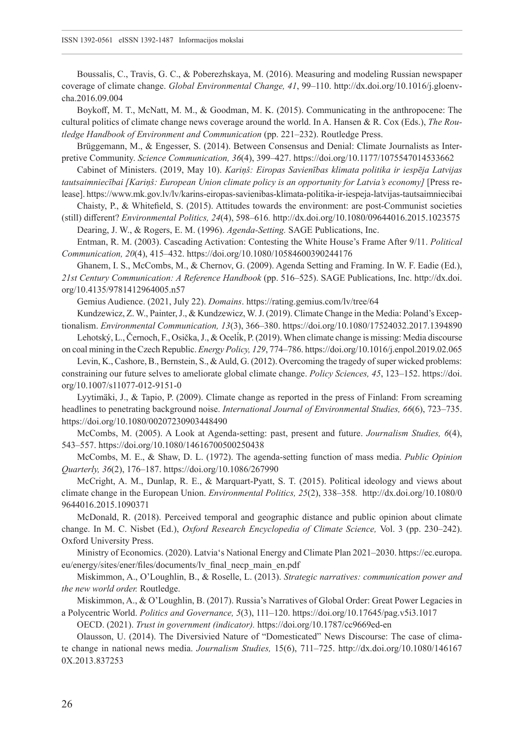Boussalis, C., Travis, G. C., & Poberezhskaya, M. (2016). Measuring and modeling Russian newspaper coverage of climate change. *Global Environmental Change, 41*, 99–110. [http://dx.doi.org/10.1016/j.gloenv](http://dx.doi.org/10.1016/j.gloenvcha.2016.09.004)[cha.2016.09.004](http://dx.doi.org/10.1016/j.gloenvcha.2016.09.004)

Boykoff, M. T., McNatt, M. M., & Goodman, M. K. (2015). Communicating in the anthropocene: The cultural politics of climate change news coverage around the world. In A. Hansen & R. Cox (Eds.), *The Routledge Handbook of Environment and Communication* (pp. 221–232). Routledge Press.

Brüggemann, M., & Engesser, S. (2014). Between Consensus and Denial: Climate Journalists as Interpretive Community. *Science Communication, 36*(4), 399–427.<https://doi.org/10.1177/1075547014533662>

Cabinet of Ministers. (2019, May 10). *Kariņš: Eiropas Savienības klimata politika ir iespēja Latvijas tautsaimniecībai [Kariņš: European Union climate policy is an opportunity for Latvia's economy]* [Press re-

lease].<https://www.mk.gov.lv/lv/karins-eiropas-savienibas-klimata-politika-ir-iespeja-latvijas-tautsaimniecibai> Chaisty, P., & Whitefield, S. (2015). Attitudes towards the environment: are post-Communist societies

(still) different? *Environmental Politics, 24*(4), 598–616*.* <http://dx.doi.org/10.1080/09644016.2015.1023575> Dearing, J. W., & Rogers, E. M. (1996). *Agenda-Setting.* SAGE Publications, Inc.

Entman, R. M. (2003). Cascading Activation: Contesting the White House's Frame After 9/11. *Political Communication, 20*(4), 415–432. <https://doi.org/10.1080/10584600390244176>

Ghanem, I. S., McCombs, M., & Chernov, G. (2009). Agenda Setting and Framing. In W. F. Eadie (Ed.), *21st Century Communication: A Reference Handbook* (pp. 516–525). SAGE Publications, Inc. [http://dx.doi.](http://dx.doi.org/10.4135/9781412964005.n57) [org/10.4135/9781412964005.n57](http://dx.doi.org/10.4135/9781412964005.n57)

Gemius Audience. (2021, July 22). *Domains*. <https://rating.gemius.com/lv/tree/64>

Kundzewicz, Z. W., Painter, J., & Kundzewicz, W. J. (2019). Climate Change in the Media: Poland's Exceptionalism. *Environmental Communication, 13*(3), 366–380.<https://doi.org/10.1080/17524032.2017.1394890>

Lehotský, L., Černoch, F., Osička, J., & Ocelík, P. (2019). When climate change is missing: Media discourse on coal mining in the Czech Republic. *Energy Policy, 129*, 774–786.<https://doi.org/10.1016/j.enpol.2019.02.065>

Levin, K., Cashore, B., Bernstein, S., & Auld, G. (2012). Overcoming the tragedy of super wicked problems: constraining our future selves to ameliorate global climate change. *Policy Sciences, 45*, 123–152. [https://doi.](https://doi.org/10.1007/s11077-012-9151-0) [org/10.1007/s11077-012-9151-0](https://doi.org/10.1007/s11077-012-9151-0)

Lyytimäki, J., & Tapio, P. (2009). Climate change as reported in the press of Finland: From screaming headlines to penetrating background noise. *International Journal of Environmental Studies, 66*(6), 723–735. <https://doi.org/10.1080/00207230903448490>

McCombs, M. (2005). A Look at Agenda-setting: past, present and future. *Journalism Studies, 6*(4), 543–557. <https://doi.org/10.1080/14616700500250438>

McCombs, M. E., & Shaw, D. L. (1972). The agenda-setting function of mass media. *Public Opinion Quarterly, 36*(2), 176–187. <https://doi.org/10.1086/267990>

McCright, A. M., Dunlap, R. E., & Marquart-Pyatt, S. T. (2015). Political ideology and views about climate change in the European Union. *Environmental Politics, 25*(2), 338–358*.* [http://dx.doi.org/10.1080/0](http://dx.doi.org/10.1080/09644016.2015.1090371) [9644016.2015.1090371](http://dx.doi.org/10.1080/09644016.2015.1090371)

McDonald, R. (2018). Perceived temporal and geographic distance and public opinion about climate change. In M. C. Nisbet (Ed.), *Oxford Research Encyclopedia of Climate Science,* Vol. 3 (pp. 230–242). Oxford University Press.

Ministry of Economics. (2020). Latvia's National Energy and Climate Plan 2021–2030. [https://ec.europa.](https://ec.europa.eu/energy/sites/ener/files/documents/lv_final_necp_main_en.pdf) [eu/energy/sites/ener/files/documents/lv\\_final\\_necp\\_main\\_en.pdf](https://ec.europa.eu/energy/sites/ener/files/documents/lv_final_necp_main_en.pdf)

Miskimmon, A., O'Loughlin, B., & Roselle, L. (2013). *Strategic narratives: communication power and the new world order.* Routledge.

Miskimmon, A., & O'Loughlin, B. (2017). Russia's Narratives of Global Order: Great Power Legacies in a Polycentric World. *Politics and Governance, 5*(3), 111–120.<https://doi.org/10.17645/pag.v5i3.1017>

OECD. (2021). *Trust in government (indicator).* <https://doi.org/10.1787/cc9669ed-en>

Olausson, U. (2014). The Diversivied Nature of "Domesticated" News Discourse: The case of climate change in national news media. *Journalism Studies,* 15(6), 711–725. [http://dx.doi.org/10.1080/146167](http://dx.doi.org/10.1080/1461670X.2013.837253) [0X.2013.837253](http://dx.doi.org/10.1080/1461670X.2013.837253)